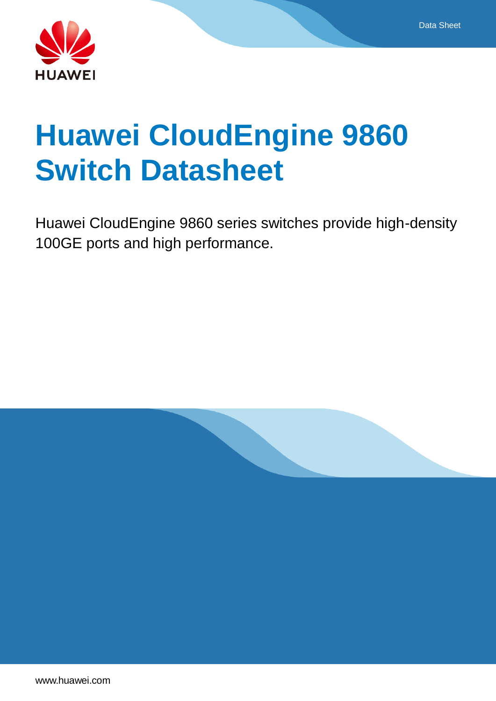

# **Huawei CloudEngine 9860 Switch Datasheet**

Huawei CloudEngine 9860 series switches provide high-density 100GE ports and high performance.

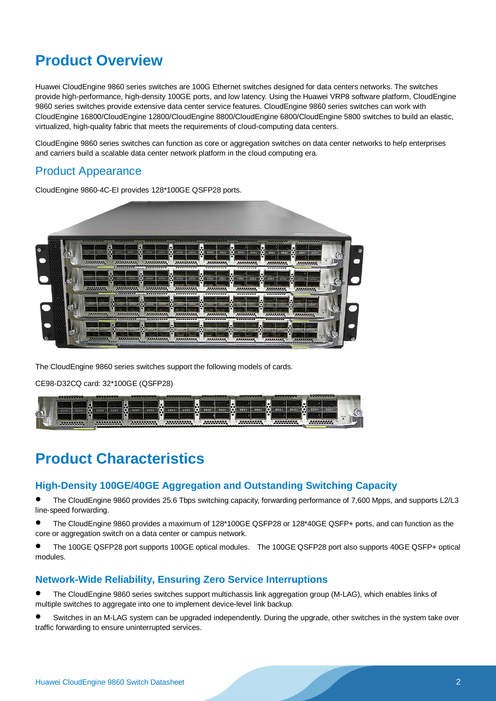# **Product Overview**

Huawei CloudEngine 9860 series switches are 100G Ethernet switches designed for data centers networks. The switches provide high-performance, high-density 100GE ports, and low latency. Using the Huawei VRP8 software platform, CloudEngine 9860 series switches provide extensive data center service features. CloudEngine 9860 series switches can work with CloudEngine 16800/CloudEngine 12800/CloudEngine 8800/CloudEngine 6800/CloudEngine 5800 switches to build an elastic, virtualized, high-quality fabric that meets the requirements of cloud-computing data centers.

CloudEngine 9860 series switches can function as core or aggregation switches on data center networks to help enterprises and carriers build a scalable data center network platform in the cloud computing era.

## Product Appearance

CloudEngine 9860-4C-EI provides 128\*100GE QSFP28 ports.



The CloudEngine 9860 series switches support the following models of cards.

CE98-D32CQ card: 32\*100GE (QSFP28)



# **Product Characteristics**

### **High-Density 100GE/40GE Aggregation and Outstanding Switching Capacity**

 The CloudEngine 9860 provides 25.6 Tbps switching capacity, forwarding performance of 7,600 Mpps, and supports L2/L3 line-speed forwarding.

 The CloudEngine 9860 provides a maximum of 128\*100GE QSFP28 or 128\*40GE QSFP+ ports, and can function as the core or aggregation switch on a data center or campus network.

 The 100GE QSFP28 port supports 100GE optical modules. The 100GE QSFP28 port also supports 40GE QSFP+ optical modules.

### **Network-Wide Reliability, Ensuring Zero Service Interruptions**

 The CloudEngine 9860 series switches support multichassis link aggregation group (M-LAG), which enables links of multiple switches to aggregate into one to implement device-level link backup.

 Switches in an M-LAG system can be upgraded independently. During the upgrade, other switches in the system take over traffic forwarding to ensure uninterrupted services.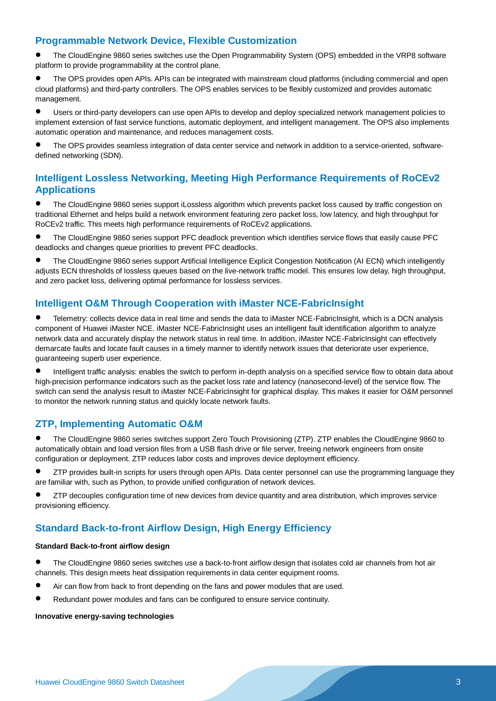### **Programmable Network Device, Flexible Customization**

 The CloudEngine 9860 series switches use the Open Programmability System (OPS) embedded in the VRP8 software platform to provide programmability at the control plane.

 The OPS provides open APIs. APIs can be integrated with mainstream cloud platforms (including commercial and open cloud platforms) and third-party controllers. The OPS enables services to be flexibly customized and provides automatic management.

 Users or third-party developers can use open APIs to develop and deploy specialized network management policies to implement extension of fast service functions, automatic deployment, and intelligent management. The OPS also implements automatic operation and maintenance, and reduces management costs.

 The OPS provides seamless integration of data center service and network in addition to a service-oriented, softwaredefined networking (SDN).

### **Intelligent Lossless Networking, Meeting High Performance Requirements of RoCEv2 Applications**

 The CloudEngine 9860 series support iLossless algorithm which prevents packet loss caused by traffic congestion on traditional Ethernet and helps build a network environment featuring zero packet loss, low latency, and high throughput for RoCEv2 traffic. This meets high performance requirements of RoCEv2 applications.

 The CloudEngine 9860 series support PFC deadlock prevention which identifies service flows that easily cause PFC deadlocks and changes queue priorities to prevent PFC deadlocks.

 The CloudEngine 9860 series support Artificial Intelligence Explicit Congestion Notification (AI ECN) which intelligently adjusts ECN thresholds of lossless queues based on the live-network traffic model. This ensures low delay, high throughput, and zero packet loss, delivering optimal performance for lossless services.

### **Intelligent O&M Through Cooperation with iMaster NCE-FabricInsight**

 Telemetry: collects device data in real time and sends the data to iMaster NCE-FabricInsight, which is a DCN analysis component of Huawei iMaster NCE. iMaster NCE-FabricInsight uses an intelligent fault identification algorithm to analyze network data and accurately display the network status in real time. In addition, iMaster NCE-FabricInsight can effectively demarcate faults and locate fault causes in a timely manner to identify network issues that deteriorate user experience, guaranteeing superb user experience.

 Intelligent traffic analysis: enables the switch to perform in-depth analysis on a specified service flow to obtain data about high-precision performance indicators such as the packet loss rate and latency (nanosecond-level) of the service flow. The switch can send the analysis result to iMaster NCE-FabricInsight for graphical display. This makes it easier for O&M personnel to monitor the network running status and quickly locate network faults.

### **ZTP, Implementing Automatic O&M**

 The CloudEngine 9860 series switches support Zero Touch Provisioning (ZTP). ZTP enables the CloudEngine 9860 to automatically obtain and load version files from a USB flash drive or file server, freeing network engineers from onsite configuration or deployment. ZTP reduces labor costs and improves device deployment efficiency.

 ZTP provides built-in scripts for users through open APIs. Data center personnel can use the programming language they are familiar with, such as Python, to provide unified configuration of network devices.

 ZTP decouples configuration time of new devices from device quantity and area distribution, which improves service provisioning efficiency.

### **Standard Back-to-front Airflow Design, High Energy Efficiency**

#### **Standard Back-to-front airflow design**

- The CloudEngine 9860 series switches use a back-to-front airflow design that isolates cold air channels from hot air channels. This design meets heat dissipation requirements in data center equipment rooms.
- Air can flow from back to front depending on the fans and power modules that are used.
- Redundant power modules and fans can be configured to ensure service continuity.

#### **Innovative energy-saving technologies**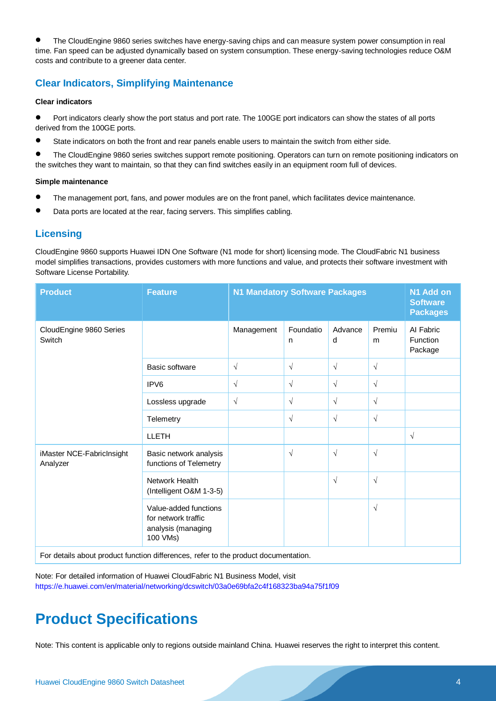The CloudEngine 9860 series switches have energy-saving chips and can measure system power consumption in real time. Fan speed can be adjusted dynamically based on system consumption. These energy-saving technologies reduce O&M costs and contribute to a greener data center.

### **Clear Indicators, Simplifying Maintenance**

#### **Clear indicators**

- Port indicators clearly show the port status and port rate. The 100GE port indicators can show the states of all ports derived from the 100GE ports.
- State indicators on both the front and rear panels enable users to maintain the switch from either side.
- The CloudEngine 9860 series switches support remote positioning. Operators can turn on remote positioning indicators on the switches they want to maintain, so that they can find switches easily in an equipment room full of devices.

#### **Simple maintenance**

- The management port, fans, and power modules are on the front panel, which facilitates device maintenance.
- Data ports are located at the rear, facing servers. This simplifies cabling.

### **Licensing**

CloudEngine 9860 supports Huawei IDN One Software (N1 mode for short) licensing mode. The CloudFabric N1 business model simplifies transactions, provides customers with more functions and value, and protects their software investment with Software License Portability.

| <b>Feature</b>                                                                 |            |                |                                                                                                                                                                                                                                      |                                       | N1 Add on<br><b>Software</b><br><b>Packages</b> |
|--------------------------------------------------------------------------------|------------|----------------|--------------------------------------------------------------------------------------------------------------------------------------------------------------------------------------------------------------------------------------|---------------------------------------|-------------------------------------------------|
|                                                                                | Management | Foundatio<br>n | Advance<br>d                                                                                                                                                                                                                         | Premiu<br>m                           | Al Fabric<br><b>Function</b><br>Package         |
| <b>Basic software</b>                                                          | $\sqrt{ }$ | $\sqrt{ }$     | $\sqrt{}$                                                                                                                                                                                                                            | $\sqrt{ }$                            |                                                 |
| IPV <sub>6</sub>                                                               | $\sqrt{ }$ | $\sqrt{ }$     | $\sqrt{}$                                                                                                                                                                                                                            | $\sqrt{ }$                            |                                                 |
| Lossless upgrade                                                               | $\sqrt{ }$ | $\sqrt{ }$     | $\sqrt{}$                                                                                                                                                                                                                            | $\sqrt{ }$                            |                                                 |
| Telemetry                                                                      |            | $\sqrt{ }$     | $\sqrt{ }$                                                                                                                                                                                                                           | $\sqrt{ }$                            |                                                 |
| <b>LLETH</b>                                                                   |            |                |                                                                                                                                                                                                                                      |                                       | $\sqrt{}$                                       |
| Basic network analysis<br>functions of Telemetry                               |            | $\sqrt{ }$     | $\sqrt{}$                                                                                                                                                                                                                            | $\sqrt{ }$                            |                                                 |
| Network Health<br>(Intelligent O&M 1-3-5)                                      |            |                | $\sqrt{}$                                                                                                                                                                                                                            | $\sqrt{ }$                            |                                                 |
| Value-added functions<br>for network traffic<br>analysis (managing<br>100 VMs) |            |                |                                                                                                                                                                                                                                      | $\sqrt{ }$                            |                                                 |
|                                                                                |            |                | $\blacksquare$ . The set of the contract of the set of the set of the contract of the set of the set of the set of the set of the set of the set of the set of the set of the set of the set of the set of the set of the set of the | <b>N1 Mandatory Software Packages</b> |                                                 |

For details about product function differences, refer to the product documentation.

Note: For detailed information of Huawei CloudFabric N1 Business Model, visit <https://e.huawei.com/en/material/networking/dcswitch/03a0e69bfa2c4f168323ba94a75f1f09>

# **Product Specifications**

Note: This content is applicable only to regions outside mainland China. Huawei reserves the right to interpret this content.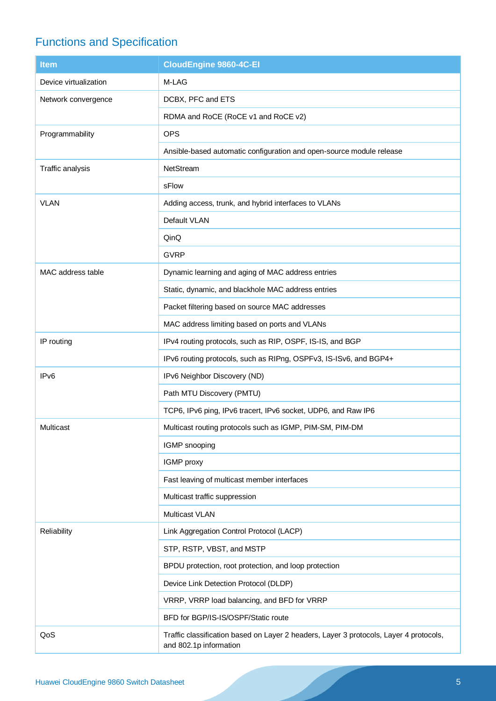# Functions and Specification

| <b>Item</b>           | <b>CloudEngine 9860-4C-EI</b>                                                                                    |
|-----------------------|------------------------------------------------------------------------------------------------------------------|
| Device virtualization | M-LAG                                                                                                            |
| Network convergence   | DCBX, PFC and ETS                                                                                                |
|                       | RDMA and RoCE (RoCE v1 and RoCE v2)                                                                              |
| Programmability       | <b>OPS</b>                                                                                                       |
|                       | Ansible-based automatic configuration and open-source module release                                             |
| Traffic analysis      | <b>NetStream</b>                                                                                                 |
|                       | sFlow                                                                                                            |
| <b>VLAN</b>           | Adding access, trunk, and hybrid interfaces to VLANs                                                             |
|                       | Default VLAN                                                                                                     |
|                       | QinQ                                                                                                             |
|                       | <b>GVRP</b>                                                                                                      |
| MAC address table     | Dynamic learning and aging of MAC address entries                                                                |
|                       | Static, dynamic, and blackhole MAC address entries                                                               |
|                       | Packet filtering based on source MAC addresses                                                                   |
|                       | MAC address limiting based on ports and VLANs                                                                    |
| IP routing            | IPv4 routing protocols, such as RIP, OSPF, IS-IS, and BGP                                                        |
|                       | IPv6 routing protocols, such as RIPng, OSPFv3, IS-ISv6, and BGP4+                                                |
| IP <sub>v6</sub>      | IPv6 Neighbor Discovery (ND)                                                                                     |
|                       | Path MTU Discovery (PMTU)                                                                                        |
|                       | TCP6, IPv6 ping, IPv6 tracert, IPv6 socket, UDP6, and Raw IP6                                                    |
| Multicast             | Multicast routing protocols such as IGMP, PIM-SM, PIM-DM                                                         |
|                       | IGMP snooping                                                                                                    |
|                       | IGMP proxy                                                                                                       |
|                       | Fast leaving of multicast member interfaces                                                                      |
|                       | Multicast traffic suppression                                                                                    |
|                       | <b>Multicast VLAN</b>                                                                                            |
| Reliability           | Link Aggregation Control Protocol (LACP)                                                                         |
|                       | STP, RSTP, VBST, and MSTP                                                                                        |
|                       | BPDU protection, root protection, and loop protection                                                            |
|                       | Device Link Detection Protocol (DLDP)                                                                            |
|                       | VRRP, VRRP load balancing, and BFD for VRRP                                                                      |
|                       | BFD for BGP/IS-IS/OSPF/Static route                                                                              |
| QoS                   | Traffic classification based on Layer 2 headers, Layer 3 protocols, Layer 4 protocols,<br>and 802.1p information |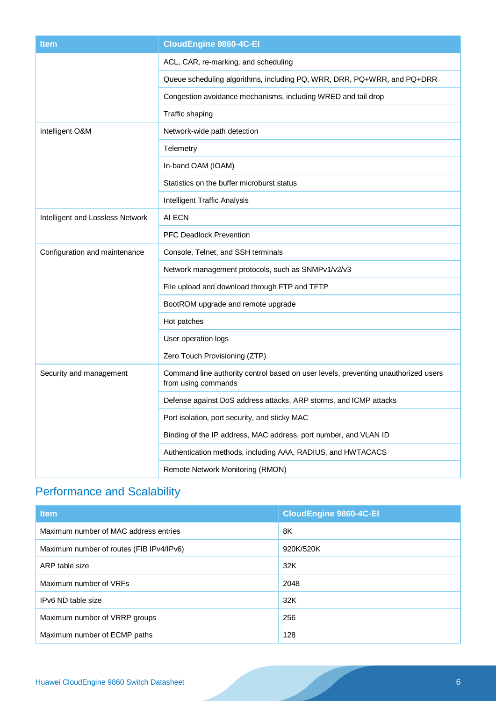| <b>Item</b>                      | <b>CloudEngine 9860-4C-EI</b>                                                                             |  |
|----------------------------------|-----------------------------------------------------------------------------------------------------------|--|
|                                  | ACL, CAR, re-marking, and scheduling                                                                      |  |
|                                  | Queue scheduling algorithms, including PQ, WRR, DRR, PQ+WRR, and PQ+DRR                                   |  |
|                                  | Congestion avoidance mechanisms, including WRED and tail drop                                             |  |
|                                  | Traffic shaping                                                                                           |  |
| Intelligent O&M                  | Network-wide path detection                                                                               |  |
|                                  | Telemetry                                                                                                 |  |
|                                  | In-band OAM (IOAM)                                                                                        |  |
|                                  | Statistics on the buffer microburst status                                                                |  |
|                                  | Intelligent Traffic Analysis                                                                              |  |
| Intelligent and Lossless Network | AI ECN                                                                                                    |  |
|                                  | <b>PFC Deadlock Prevention</b>                                                                            |  |
| Configuration and maintenance    | Console, Telnet, and SSH terminals                                                                        |  |
|                                  | Network management protocols, such as SNMPv1/v2/v3                                                        |  |
|                                  | File upload and download through FTP and TFTP                                                             |  |
|                                  | BootROM upgrade and remote upgrade                                                                        |  |
|                                  | Hot patches                                                                                               |  |
|                                  | User operation logs                                                                                       |  |
|                                  | Zero Touch Provisioning (ZTP)                                                                             |  |
| Security and management          | Command line authority control based on user levels, preventing unauthorized users<br>from using commands |  |
|                                  | Defense against DoS address attacks, ARP storms, and ICMP attacks                                         |  |
|                                  | Port isolation, port security, and sticky MAC                                                             |  |
|                                  | Binding of the IP address, MAC address, port number, and VLAN ID                                          |  |
|                                  | Authentication methods, including AAA, RADIUS, and HWTACACS                                               |  |
|                                  | Remote Network Monitoring (RMON)                                                                          |  |

# Performance and Scalability

| <b>Item</b>                              | <b>CloudEngine 9860-4C-EI</b> |
|------------------------------------------|-------------------------------|
| Maximum number of MAC address entries    | 8K                            |
| Maximum number of routes (FIB IPv4/IPv6) | 920K/520K                     |
| ARP table size                           | 32K                           |
| Maximum number of VRFs                   | 2048                          |
| IPv6 ND table size                       | 32K                           |
| Maximum number of VRRP groups            | 256                           |
| Maximum number of ECMP paths             | 128                           |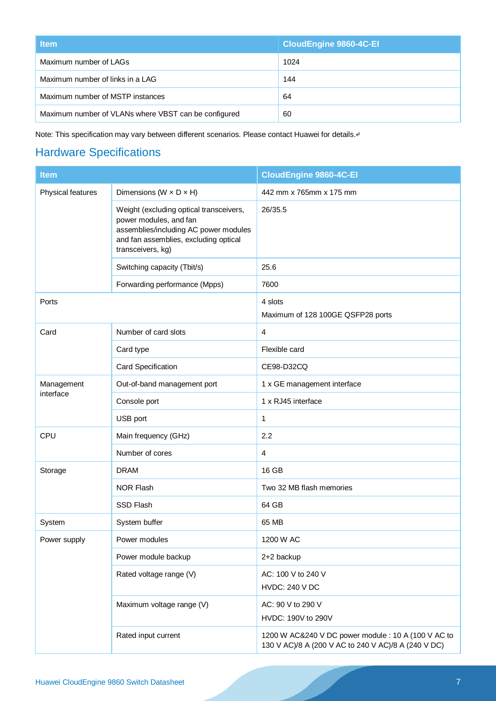| <b>Item</b>                                          | <b>CloudEngine 9860-4C-EI</b> |
|------------------------------------------------------|-------------------------------|
| Maximum number of LAGs                               | 1024                          |
| Maximum number of links in a LAG                     | 144                           |
| Maximum number of MSTP instances                     | 64                            |
| Maximum number of VLANs where VBST can be configured | 60                            |

Note: This specification may vary between different scenarios. Please contact Huawei for details.4

# Hardware Specifications

| <b>Item</b>       |                                                                                                                                                                          | <b>CloudEngine 9860-4C-EI</b>                                                                              |
|-------------------|--------------------------------------------------------------------------------------------------------------------------------------------------------------------------|------------------------------------------------------------------------------------------------------------|
| Physical features | Dimensions ( $W \times D \times H$ )                                                                                                                                     | 442 mm x 765mm x 175 mm                                                                                    |
|                   | Weight (excluding optical transceivers,<br>power modules, and fan<br>assemblies/including AC power modules<br>and fan assemblies, excluding optical<br>transceivers, kg) | 26/35.5                                                                                                    |
|                   | Switching capacity (Tbit/s)                                                                                                                                              | 25.6                                                                                                       |
|                   | Forwarding performance (Mpps)                                                                                                                                            | 7600                                                                                                       |
| Ports             |                                                                                                                                                                          | 4 slots<br>Maximum of 128 100GE QSFP28 ports                                                               |
| Card              | Number of card slots                                                                                                                                                     | 4                                                                                                          |
|                   | Card type                                                                                                                                                                | Flexible card                                                                                              |
|                   | Card Specification                                                                                                                                                       | CE98-D32CQ                                                                                                 |
| Management        | Out-of-band management port                                                                                                                                              | 1 x GE management interface                                                                                |
| interface         | Console port                                                                                                                                                             | 1 x RJ45 interface                                                                                         |
|                   | USB port                                                                                                                                                                 | 1                                                                                                          |
| CPU               | Main frequency (GHz)                                                                                                                                                     | 2.2                                                                                                        |
|                   | Number of cores                                                                                                                                                          | 4                                                                                                          |
| Storage           | <b>DRAM</b>                                                                                                                                                              | 16 GB                                                                                                      |
|                   | <b>NOR Flash</b>                                                                                                                                                         | Two 32 MB flash memories                                                                                   |
|                   | SSD Flash                                                                                                                                                                | 64 GB                                                                                                      |
| System            | System buffer                                                                                                                                                            | 65 MB                                                                                                      |
| Power supply      | Power modules                                                                                                                                                            | 1200 W AC                                                                                                  |
|                   | Power module backup                                                                                                                                                      | 2+2 backup                                                                                                 |
|                   | Rated voltage range (V)                                                                                                                                                  | AC: 100 V to 240 V<br><b>HVDC: 240 V DC</b>                                                                |
|                   | Maximum voltage range (V)                                                                                                                                                | AC: 90 V to 290 V<br>HVDC: 190V to 290V                                                                    |
|                   | Rated input current                                                                                                                                                      | 1200 W AC&240 V DC power module : 10 A (100 V AC to<br>130 V AC)/8 A (200 V AC to 240 V AC)/8 A (240 V DC) |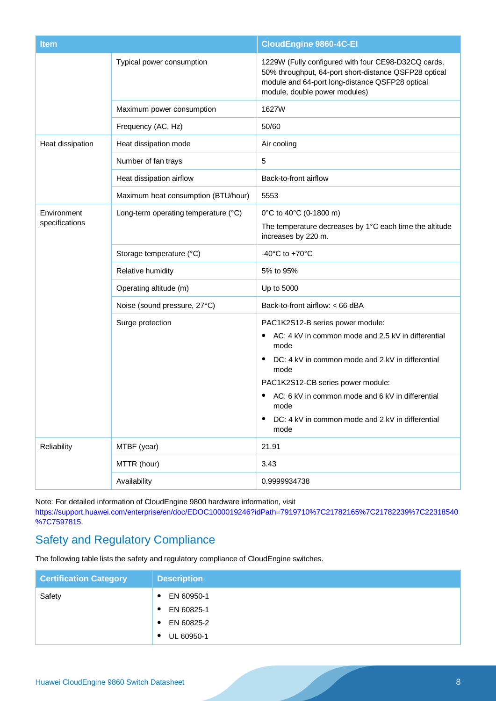| <b>Item</b>      |                                      | <b>CloudEngine 9860-4C-EI</b>                                                                                                                                                                                                                                                                                                        |
|------------------|--------------------------------------|--------------------------------------------------------------------------------------------------------------------------------------------------------------------------------------------------------------------------------------------------------------------------------------------------------------------------------------|
|                  | Typical power consumption            | 1229W (Fully configured with four CE98-D32CQ cards,<br>50% throughput, 64-port short-distance QSFP28 optical<br>module and 64-port long-distance QSFP28 optical<br>module, double power modules)                                                                                                                                     |
|                  | Maximum power consumption            | 1627W                                                                                                                                                                                                                                                                                                                                |
|                  | Frequency (AC, Hz)                   | 50/60                                                                                                                                                                                                                                                                                                                                |
| Heat dissipation | Heat dissipation mode                | Air cooling                                                                                                                                                                                                                                                                                                                          |
|                  | Number of fan trays                  | $\overline{5}$                                                                                                                                                                                                                                                                                                                       |
|                  | Heat dissipation airflow             | Back-to-front airflow                                                                                                                                                                                                                                                                                                                |
|                  | Maximum heat consumption (BTU/hour)  | 5553                                                                                                                                                                                                                                                                                                                                 |
| Environment      | Long-term operating temperature (°C) | 0°C to 40°C (0-1800 m)                                                                                                                                                                                                                                                                                                               |
| specifications   |                                      | The temperature decreases by 1°C each time the altitude<br>increases by 220 m.                                                                                                                                                                                                                                                       |
|                  | Storage temperature (°C)             | -40 $^{\circ}$ C to +70 $^{\circ}$ C                                                                                                                                                                                                                                                                                                 |
|                  | Relative humidity                    | 5% to 95%                                                                                                                                                                                                                                                                                                                            |
|                  | Operating altitude (m)               | Up to 5000                                                                                                                                                                                                                                                                                                                           |
|                  | Noise (sound pressure, 27°C)         | Back-to-front airflow: < 66 dBA                                                                                                                                                                                                                                                                                                      |
|                  | Surge protection                     | PAC1K2S12-B series power module:<br>AC: 4 kV in common mode and 2.5 kV in differential<br>mode<br>DC: 4 kV in common mode and 2 kV in differential<br>$\bullet$<br>mode<br>PAC1K2S12-CB series power module:<br>AC: 6 kV in common mode and 6 kV in differential<br>mode<br>DC: 4 kV in common mode and 2 kV in differential<br>mode |
| Reliability      | MTBF (year)                          | 21.91                                                                                                                                                                                                                                                                                                                                |
|                  | MTTR (hour)                          | 3.43                                                                                                                                                                                                                                                                                                                                 |
|                  | Availability                         | 0.9999934738                                                                                                                                                                                                                                                                                                                         |

Note: For detailed information of CloudEngine 9800 hardware information, visit

[https://support.huawei.com/enterprise/en/doc/EDOC1000019246?idPath=7919710%7C21782165%7C21782239%7C22318540](https://support.huawei.com/enterprise/en/doc/EDOC1100135089?idPath=24030814%7C21782165%7C21782239%7C23395225%7C23398779) [%7C7597815.](https://support.huawei.com/enterprise/en/doc/EDOC1100135089?idPath=24030814%7C21782165%7C21782239%7C23395225%7C23398779)

# Safety and Regulatory Compliance

The following table lists the safety and regulatory compliance of CloudEngine switches.

| <b>Certification Category</b> | <b>Description</b>      |
|-------------------------------|-------------------------|
| Safety                        | EN 60950-1<br>٠         |
|                               | EN 60825-1<br>$\bullet$ |
|                               | EN 60825-2<br>$\bullet$ |
|                               | UL 60950-1<br>с         |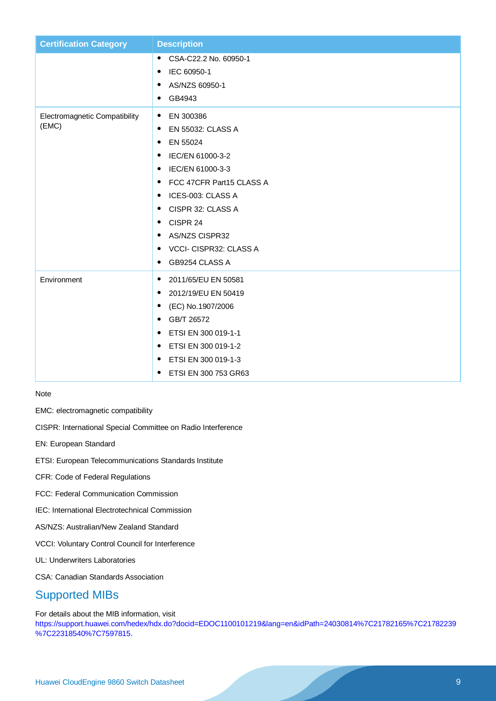| <b>Certification Category</b> | <b>Description</b>                 |
|-------------------------------|------------------------------------|
|                               | CSA-C22.2 No. 60950-1<br>$\bullet$ |
|                               | IEC 60950-1<br>٠                   |
|                               | AS/NZS 60950-1<br>$\bullet$        |
|                               | GB4943<br>٠                        |
| Electromagnetic Compatibility | EN 300386<br>$\bullet$             |
| (EMC)                         | EN 55032: CLASS A<br>$\bullet$     |
|                               | EN 55024<br>٠                      |
|                               | IEC/EN 61000-3-2<br>٠              |
|                               | IEC/EN 61000-3-3<br>$\bullet$      |
|                               | FCC 47CFR Part15 CLASS A<br>٠      |
|                               | ICES-003: CLASS A<br>٠             |
|                               | CISPR 32: CLASS A<br>٠             |
|                               | CISPR 24<br>٠                      |
|                               | <b>AS/NZS CISPR32</b><br>٠         |
|                               | VCCI- CISPR32: CLASS A<br>٠        |
|                               | GB9254 CLASS A<br>$\bullet$        |
| Environment                   | 2011/65/EU EN 50581<br>$\bullet$   |
|                               | 2012/19/EU EN 50419<br>٠           |
|                               | (EC) No.1907/2006<br>$\bullet$     |
|                               | GB/T 26572<br>٠                    |
|                               | ETSI EN 300 019-1-1<br>٠           |
|                               | ETSI EN 300 019-1-2<br>٠           |
|                               | ETSI EN 300 019-1-3<br>٠           |
|                               | ETSI EN 300 753 GR63<br>٠          |

#### Note

EMC: electromagnetic compatibility

CISPR: International Special Committee on Radio Interference

EN: European Standard

ETSI: European Telecommunications Standards Institute

CFR: Code of Federal Regulations

FCC: Federal Communication Commission

IEC: International Electrotechnical Commission

AS/NZS: Australian/New Zealand Standard

VCCI: Voluntary Control Council for Interference

UL: Underwriters Laboratories

CSA: Canadian Standards Association

# Supported MIBs

For details about the MIB information, vis[it](https://support.huawei.com/enterprise/en/doc/EDOC1100135089?idPath=24030814%7C21782165%7C21782239%7C23395225%7C23398779)

[https://support.huawei.com/hedex/hdx.do?docid=EDOC1100101219&lang=en&idPath=24030814%7C21782165%7C21782239](https://support.huawei.com/enterprise/en/doc/EDOC1100135089?idPath=24030814%7C21782165%7C21782239%7C23395225%7C23398779) [%7C22318540%7C7597815.](https://support.huawei.com/enterprise/en/doc/EDOC1100135089?idPath=24030814%7C21782165%7C21782239%7C23395225%7C23398779)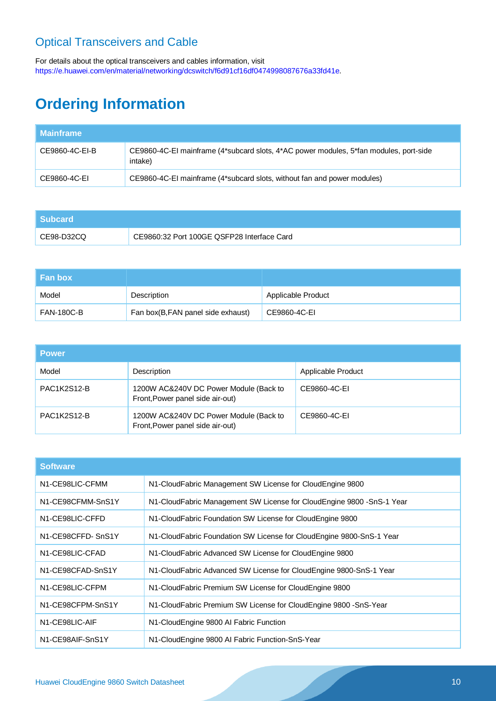# Optical Transceivers and Cable

For details about the optical transceivers and cables information, visit [https://e.huawei.com/en/material/networking/dcswitch/f6d91cf16df0474998087676a33fd41e.](https://e.huawei.com/en/material/networking/dcswitch/f6d91cf16df0474998087676a33fd41e)

# **Ordering Information**

| <b>Mainframe</b> |                                                                                                  |
|------------------|--------------------------------------------------------------------------------------------------|
| CE9860-4C-EI-B   | CE9860-4C-EI mainframe (4*subcard slots, 4*AC power modules, 5*fan modules, port-side<br>intake) |
| CE9860-4C-EI     | CE9860-4C-EI mainframe (4*subcard slots, without fan and power modules)                          |

| l Subcard  |                                            |
|------------|--------------------------------------------|
| CE98-D32CQ | CE9860:32 Port 100GE QSFP28 Interface Card |

| l Fan box i       |                                   |                    |
|-------------------|-----------------------------------|--------------------|
| Model             | Description                       | Applicable Product |
| <b>FAN-180C-B</b> | Fan box(B,FAN panel side exhaust) | CE9860-4C-EI       |

| <b>Power</b> |                                                                            |                    |
|--------------|----------------------------------------------------------------------------|--------------------|
| Model        | Description                                                                | Applicable Product |
| PAC1K2S12-B  | 1200W AC&240V DC Power Module (Back to<br>Front, Power panel side air-out) | CE9860-4C-EI       |
| PAC1K2S12-B  | 1200W AC&240V DC Power Module (Back to<br>Front, Power panel side air-out) | CE9860-4C-EI       |

| <b>Software</b>               |                                                                        |  |
|-------------------------------|------------------------------------------------------------------------|--|
| N1-CE98LIC-CFMM               | N1-CloudFabric Management SW License for CloudEngine 9800              |  |
| N1-CE98CFMM-SnS1Y             | N1-CloudFabric Management SW License for CloudEngine 9800 - SnS-1 Year |  |
| N <sub>1</sub> -CE98LIC-CFFD  | N1-CloudFabric Foundation SW License for CloudEngine 9800              |  |
| N1-CE98CFFD-SnS1Y             | N1-CloudFabric Foundation SW License for CloudEngine 9800-SnS-1 Year   |  |
| N <sub>1</sub> -CE98LIC-CFAD  | N1-CloudFabric Advanced SW License for CloudEngine 9800                |  |
| N1-CE98CFAD-SnS1Y             | N1-CloudFabric Advanced SW License for CloudEngine 9800-SnS-1 Year     |  |
| N <sub>1</sub> -CE98LIC-CFPM  | N1-CloudFabric Premium SW License for CloudEngine 9800                 |  |
| N1-CE98CFPM-SnS1Y             | N1-CloudFabric Premium SW License for CloudEngine 9800 - SnS-Year      |  |
| N1-CE98LIC-AIF                | N1-CloudEngine 9800 AI Fabric Function                                 |  |
| N <sub>1</sub> -CE98AIF-SnS1Y | N1-CloudEngine 9800 AI Fabric Function-SnS-Year                        |  |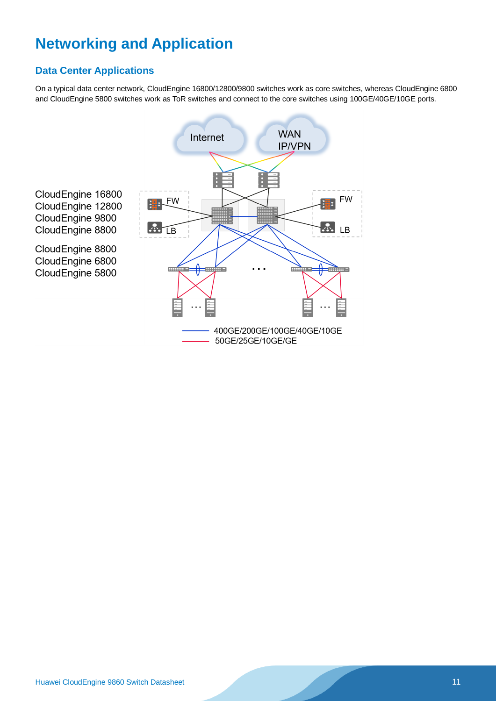# **Networking and Application**

### **Data Center Applications**

On a typical data center network, CloudEngine 16800/12800/9800 switches work as core switches, whereas CloudEngine 6800 and CloudEngine 5800 switches work as ToR switches and connect to the core switches using 100GE/40GE/10GE ports.